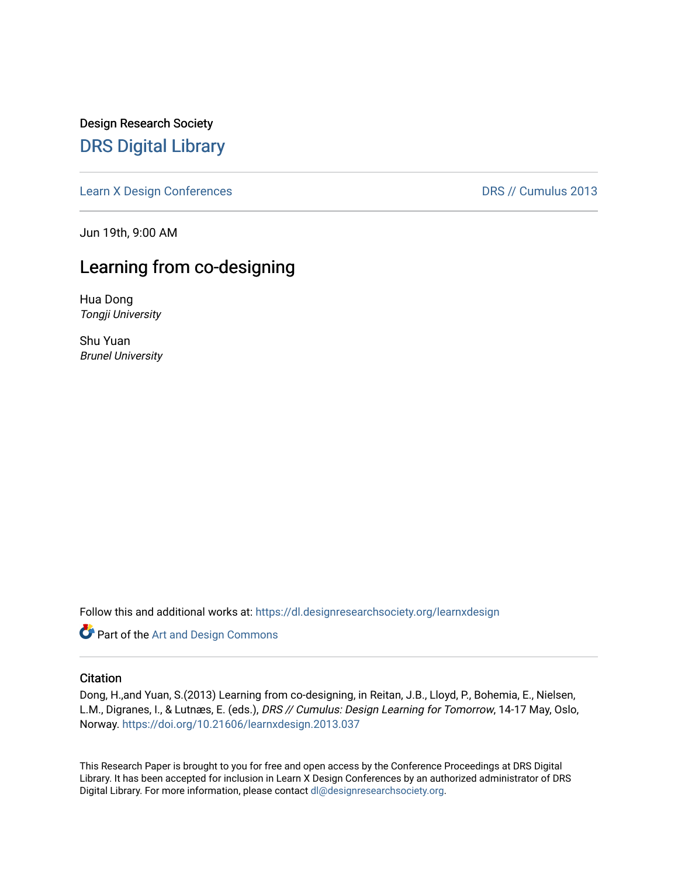Design Research Society [DRS Digital Library](https://dl.designresearchsociety.org/)

[Learn X Design Conferences](https://dl.designresearchsociety.org/learnxdesign) **DRS // Cumulus 2013** 

Jun 19th, 9:00 AM

# Learning from co-designing

Hua Dong Tongji University

Shu Yuan Brunel University

Follow this and additional works at: [https://dl.designresearchsociety.org/learnxdesign](https://dl.designresearchsociety.org/learnxdesign?utm_source=dl.designresearchsociety.org%2Flearnxdesign%2Flearnxdesign2013%2Fresearchpapers%2F37&utm_medium=PDF&utm_campaign=PDFCoverPages)

**Part of the [Art and Design Commons](http://network.bepress.com/hgg/discipline/1049?utm_source=dl.designresearchsociety.org%2Flearnxdesign%2Flearnxdesign2013%2Fresearchpapers%2F37&utm_medium=PDF&utm_campaign=PDFCoverPages)** 

### **Citation**

Dong, H.,and Yuan, S.(2013) Learning from co-designing, in Reitan, J.B., Lloyd, P., Bohemia, E., Nielsen, L.M., Digranes, I., & Lutnæs, E. (eds.), DRS // Cumulus: Design Learning for Tomorrow, 14-17 May, Oslo, Norway.<https://doi.org/10.21606/learnxdesign.2013.037>

This Research Paper is brought to you for free and open access by the Conference Proceedings at DRS Digital Library. It has been accepted for inclusion in Learn X Design Conferences by an authorized administrator of DRS Digital Library. For more information, please contact [dl@designresearchsociety.org](mailto:dl@designresearchsociety.org).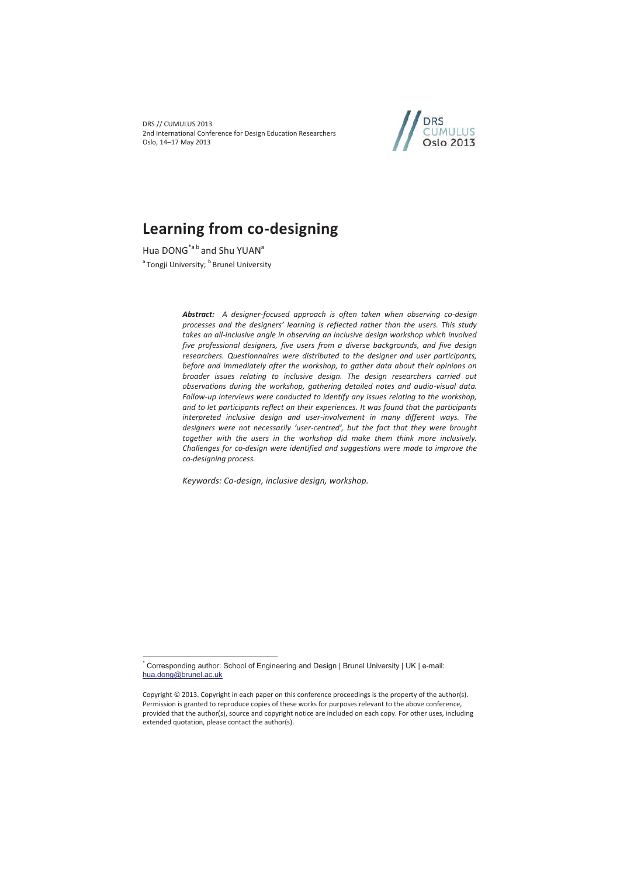DRS // CUMULUS 2013 2nd International Conference for Design Education Researchers Oslo, 14–17 May 2013



# **Learning from co-designing**

Hua DONG<sup>\*a b</sup> and Shu YUAN<sup>a</sup> <sup>a</sup> Tongii University: <sup>b</sup> Brunel University

 $\overline{a}$ 

*Abstract: A designer-focused approach is often taken when observing co-design processes and the designers' learning is reflected rather than the users. This study takes an all-inclusive angle in observing an inclusive design workshop which involved five professional designers, five users from a diverse backgrounds, and five design researchers. Questionnaires were distributed to the designer and user participants, before and immediately after the workshop, to gather data about their opinions on broader issues relating to inclusive design. The design researchers carried out observations during the workshop, gathering detailed notes and audio-visual data. Follow-up interviews were conducted to identify any issues relating to the workshop, and to let participants reflect on their experiences. It was found that the participants interpreted inclusive design and user-involvement in many different ways. The designers were not necessarily 'user-centred', but the fact that they were brought together with the users in the workshop did make them think more inclusively. Challenges for co-design were identified and suggestions were made to improve the co-designing process.* 

*Keywords: Co-design, inclusive design, workshop.* 

<sup>\*</sup> Corresponding author: School of Engineering and Design | Brunel University | UK | e-mail: hua.dong@brunel.ac.uk

Copyright © 2013. Copyright in each paper on this conference proceedings is the property of the author(s). Permission is granted to reproduce copies of these works for purposes relevant to the above conference, provided that the author(s), source and copyright notice are included on each copy. For other uses, including extended quotation, please contact the author(s).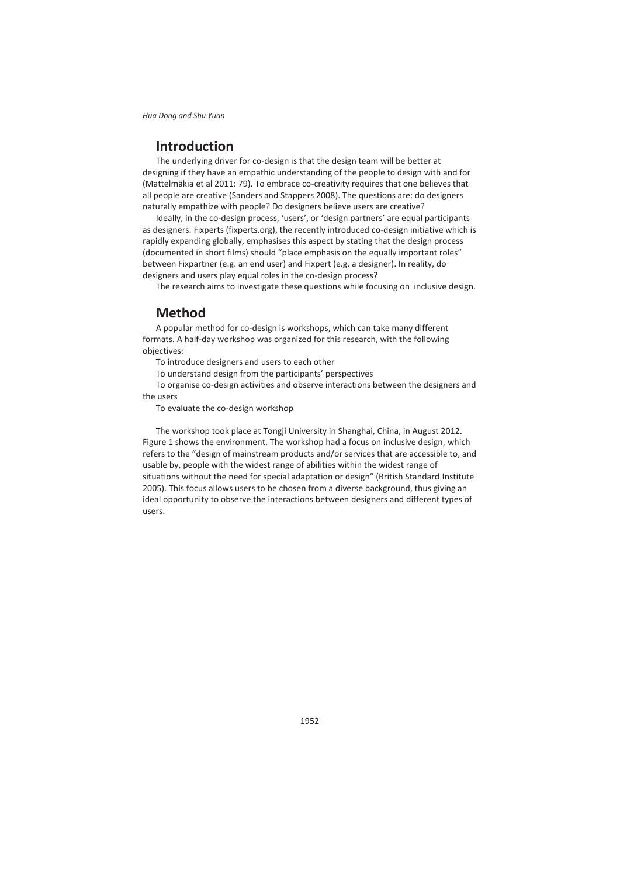# **Introduction**

The underlying driver for co-design is that the design team will be better at designing if they have an empathic understanding of the people to design with and for (Mattelmäkia et al 2011: 79). To embrace co-creativity requires that one believes that all people are creative (Sanders and Stappers 2008). The questions are: do designers naturally empathize with people? Do designers believe users are creative?

Ideally, in the co-design process, 'users', or 'design partners' are equal participants as designers. Fixperts (fixperts.org), the recently introduced co-design initiative which is rapidly expanding globally, emphasises this aspect by stating that the design process (documented in short films) should "place emphasis on the equally important roles" between Fixpartner (e.g. an end user) and Fixpert (e.g. a designer). In reality, do designers and users play equal roles in the co-design process?

The research aims to investigate these questions while focusing on inclusive design.

## **Method**

A popular method for co-design is workshops, which can take many different formats. A half-day workshop was organized for this research, with the following objectives:

To introduce designers and users to each other

To understand design from the participants' perspectives

To organise co-design activities and observe interactions between the designers and the users

To evaluate the co-design workshop

The workshop took place at Tongji University in Shanghai, China, in August 2012. Figure 1 shows the environment. The workshop had a focus on inclusive design, which refers to the "design of mainstream products and/or services that are accessible to, and usable by, people with the widest range of abilities within the widest range of situations without the need for special adaptation or design" (British Standard Institute 2005). This focus allows users to be chosen from a diverse background, thus giving an ideal opportunity to observe the interactions between designers and different types of users.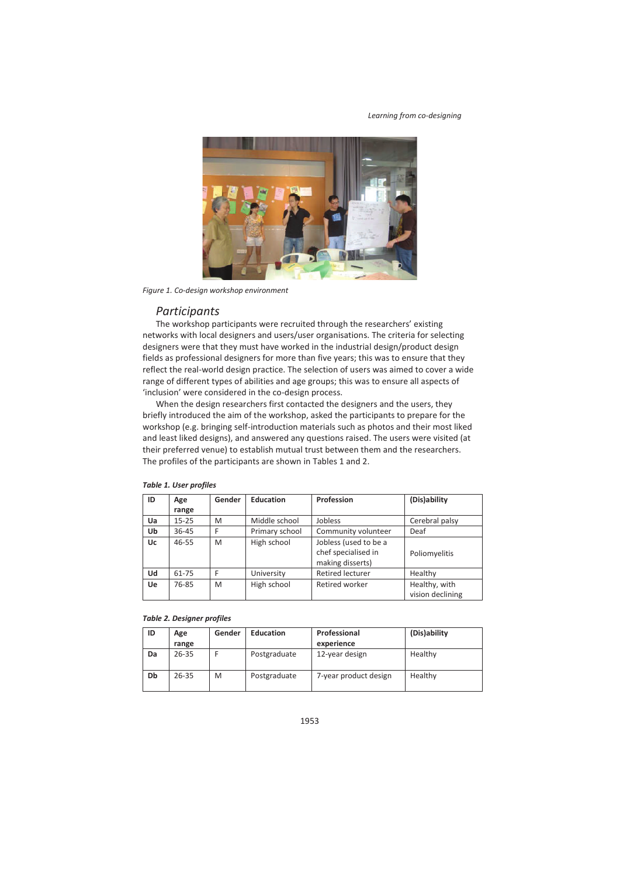

*Figure 1. Co-design workshop environment* 

### *Participants*

The workshop participants were recruited through the researchers' existing networks with local designers and users/user organisations. The criteria for selecting designers were that they must have worked in the industrial design/product design fields as professional designers for more than five years; this was to ensure that they reflect the real-world design practice. The selection of users was aimed to cover a wide range of different types of abilities and age groups; this was to ensure all aspects of 'inclusion' were considered in the co-design process.

When the design researchers first contacted the designers and the users, they briefly introduced the aim of the workshop, asked the participants to prepare for the workshop (e.g. bringing self-introduction materials such as photos and their most liked and least liked designs), and answered any questions raised. The users were visited (at their preferred venue) to establish mutual trust between them and the researchers. The profiles of the participants are shown in Tables 1 and 2.

| ID | Age       | Gender | <b>Education</b> | Profession              | (Dis)ability     |
|----|-----------|--------|------------------|-------------------------|------------------|
|    | range     |        |                  |                         |                  |
| Ua | $15 - 25$ | M      | Middle school    | Jobless                 | Cerebral palsy   |
| Ub | 36-45     | F      | Primary school   | Community volunteer     | Deaf             |
| Uc | $46 - 55$ | M      | High school      | Jobless (used to be a   |                  |
|    |           |        |                  | chef specialised in     | Poliomyelitis    |
|    |           |        |                  | making disserts)        |                  |
| Ud | 61-75     | F      | University       | <b>Retired lecturer</b> | Healthy          |
| Ue | 76-85     | M      | High school      | Retired worker          | Healthy, with    |
|    |           |        |                  |                         | vision declining |

### *Table 1. User profiles*

*Table 2. Designer profiles* 

| ID | Age<br>range | Gender | <b>Education</b> | Professional<br>experience | (Dis)ability |
|----|--------------|--------|------------------|----------------------------|--------------|
| Da | 26-35        |        | Postgraduate     | 12-year design             | Healthy      |
| Db | 26-35        | M      | Postgraduate     | 7-year product design      | Healthy      |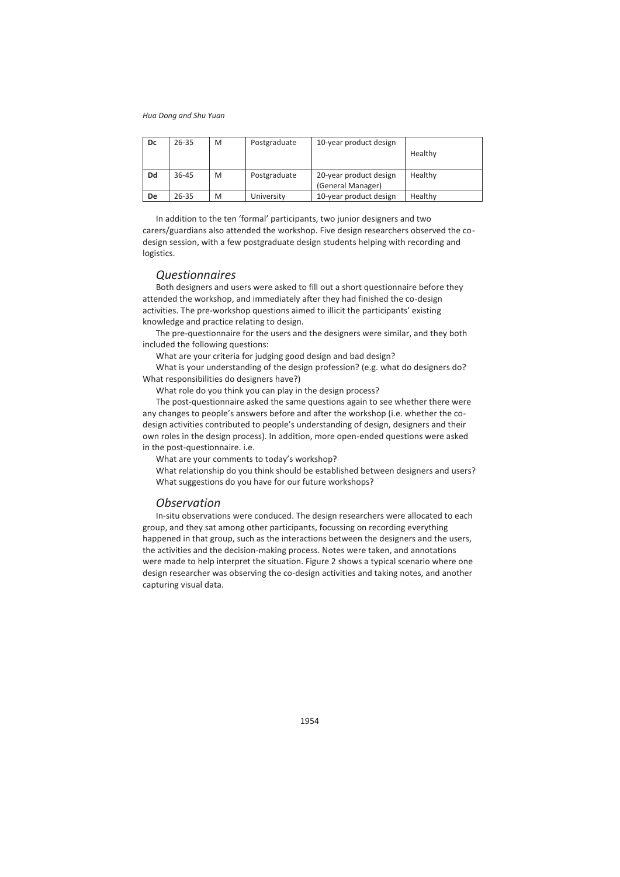| Dc | 26-35 | M | Postgraduate | 10-year product design                      | Healthy |
|----|-------|---|--------------|---------------------------------------------|---------|
| Dd | 36-45 | M | Postgraduate | 20-year product design<br>(General Manager) | Healthy |
| De | 26-35 | M | University   | 10-year product design                      | Healthy |

In addition to the ten 'formal' participants, two junior designers and two carers/guardians also attended the workshop. Five design researchers observed the codesign session, with a few postgraduate design students helping with recording and logistics.

### *Questionnaires*

Both designers and users were asked to fill out a short questionnaire before they attended the workshop, and immediately after they had finished the co-design activities. The pre-workshop questions aimed to illicit the participants' existing knowledge and practice relating to design.

The pre-questionnaire for the users and the designers were similar, and they both included the following questions:

What are your criteria for judging good design and bad design?

What is your understanding of the design profession? (e.g. what do designers do? What responsibilities do designers have?)

What role do you think you can play in the design process?

The post-questionnaire asked the same questions again to see whether there were any changes to people's answers before and after the workshop (i.e. whether the codesign activities contributed to people's understanding of design, designers and their own roles in the design process). In addition, more open-ended questions were asked in the post-questionnaire. i.e.

What are your comments to today's workshop?

What relationship do you think should be established between designers and users? What suggestions do you have for our future workshops?

### *Observation*

In-situ observations were conduced. The design researchers were allocated to each group, and they sat among other participants, focussing on recording everything happened in that group, such as the interactions between the designers and the users, the activities and the decision-making process. Notes were taken, and annotations were made to help interpret the situation. Figure 2 shows a typical scenario where one design researcher was observing the co-design activities and taking notes, and another capturing visual data.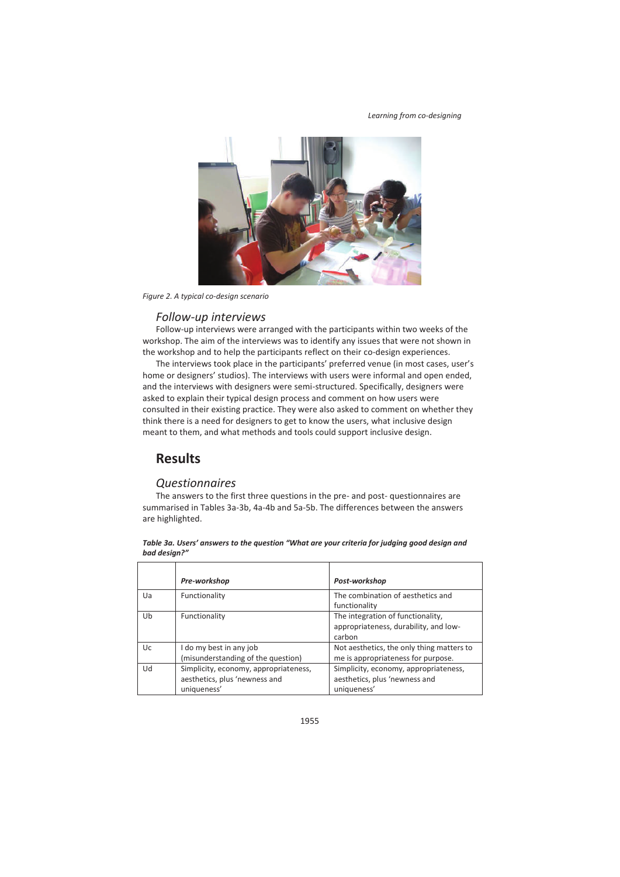

*Figure 2. A typical co-design scenario* 

### *Follow-up interviews*

Follow-up interviews were arranged with the participants within two weeks of the workshop. The aim of the interviews was to identify any issues that were not shown in the workshop and to help the participants reflect on their co-design experiences.

The interviews took place in the participants' preferred venue (in most cases, user's home or designers' studios). The interviews with users were informal and open ended, and the interviews with designers were semi-structured. Specifically, designers were asked to explain their typical design process and comment on how users were consulted in their existing practice. They were also asked to comment on whether they think there is a need for designers to get to know the users, what inclusive design meant to them, and what methods and tools could support inclusive design.

# **Results**

### *Questionnaires*

The answers to the first three questions in the pre- and post- questionnaires are summarised in Tables 3a-3b, 4a-4b and 5a-5b. The differences between the answers are highlighted.

|     | Pre-workshop                                                                          | Post-workshop                                                                         |
|-----|---------------------------------------------------------------------------------------|---------------------------------------------------------------------------------------|
| Ua  | Functionality                                                                         | The combination of aesthetics and<br>functionality                                    |
| Ub  | Functionality                                                                         | The integration of functionality,<br>appropriateness, durability, and low-<br>carbon  |
| Uc. | I do my best in any job<br>(misunderstanding of the question)                         | Not aesthetics, the only thing matters to<br>me is appropriateness for purpose.       |
| Ud  | Simplicity, economy, appropriateness,<br>aesthetics, plus 'newness and<br>uniqueness' | Simplicity, economy, appropriateness,<br>aesthetics, plus 'newness and<br>uniqueness' |

#### *Table 3a. Users' answers to the question "What are your criteria for judging good design and bad design?"*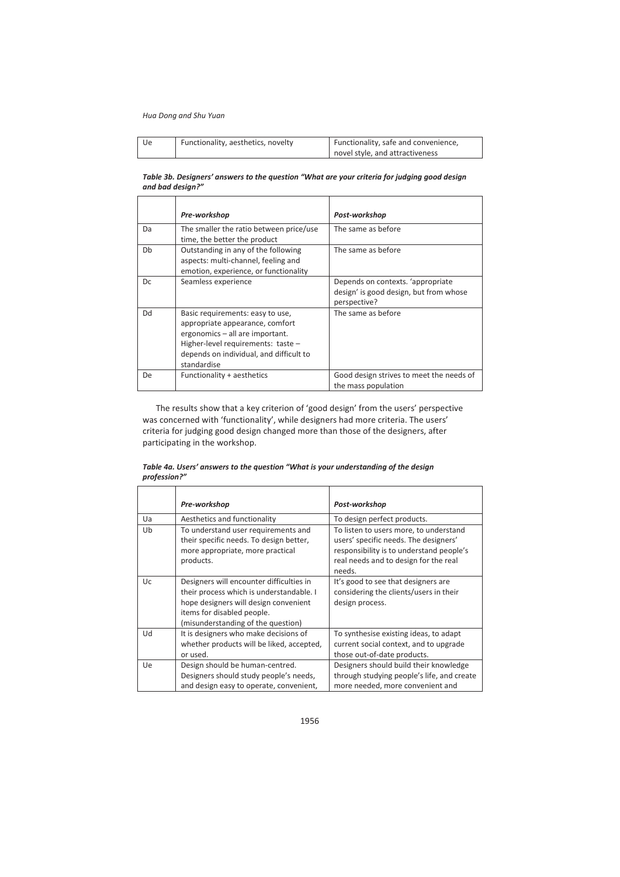| Ue | Functionality, aesthetics, novelty | Functionality, safe and convenience, |
|----|------------------------------------|--------------------------------------|
|    |                                    | novel style, and attractiveness      |

#### *Table 3b. Designers' answers to the question "What are your criteria for judging good design and bad design?"*

|     | Pre-workshop                                                                                                                                                                                           | Post-workshop                                                                               |
|-----|--------------------------------------------------------------------------------------------------------------------------------------------------------------------------------------------------------|---------------------------------------------------------------------------------------------|
| Da  | The smaller the ratio between price/use<br>time, the better the product                                                                                                                                | The same as before                                                                          |
| Db  | Outstanding in any of the following<br>aspects: multi-channel, feeling and<br>emotion, experience, or functionality                                                                                    | The same as before                                                                          |
| Dc. | Seamless experience                                                                                                                                                                                    | Depends on contexts. 'appropriate<br>design' is good design, but from whose<br>perspective? |
| Dd  | Basic requirements: easy to use,<br>appropriate appearance, comfort<br>ergonomics - all are important.<br>Higher-level requirements: taste -<br>depends on individual, and difficult to<br>standardise | The same as before                                                                          |
| De. | Functionality + aesthetics                                                                                                                                                                             | Good design strives to meet the needs of<br>the mass population                             |

The results show that a key criterion of 'good design' from the users' perspective was concerned with 'functionality', while designers had more criteria. The users' criteria for judging good design changed more than those of the designers, after participating in the workshop.

#### *Table 4a. Users' answers to the question "What is your understanding of the design profession?"*

|           | Pre-workshop                                                                                                                                                                                      | Post-workshop                                                                                                                                                                  |
|-----------|---------------------------------------------------------------------------------------------------------------------------------------------------------------------------------------------------|--------------------------------------------------------------------------------------------------------------------------------------------------------------------------------|
| Ua        | Aesthetics and functionality                                                                                                                                                                      | To design perfect products.                                                                                                                                                    |
| Ub        | To understand user requirements and<br>their specific needs. To design better,<br>more appropriate, more practical<br>products.                                                                   | To listen to users more, to understand<br>users' specific needs. The designers'<br>responsibility is to understand people's<br>real needs and to design for the real<br>needs. |
| Uc.       | Designers will encounter difficulties in<br>their process which is understandable. I<br>hope designers will design convenient<br>items for disabled people.<br>(misunderstanding of the question) | It's good to see that designers are<br>considering the clients/users in their<br>design process.                                                                               |
| Ud        | It is designers who make decisions of<br>whether products will be liked, accepted,<br>or used.                                                                                                    | To synthesise existing ideas, to adapt<br>current social context, and to upgrade<br>those out-of-date products.                                                                |
| <b>Ue</b> | Design should be human-centred.<br>Designers should study people's needs,<br>and design easy to operate, convenient,                                                                              | Designers should build their knowledge<br>through studying people's life, and create<br>more needed, more convenient and                                                       |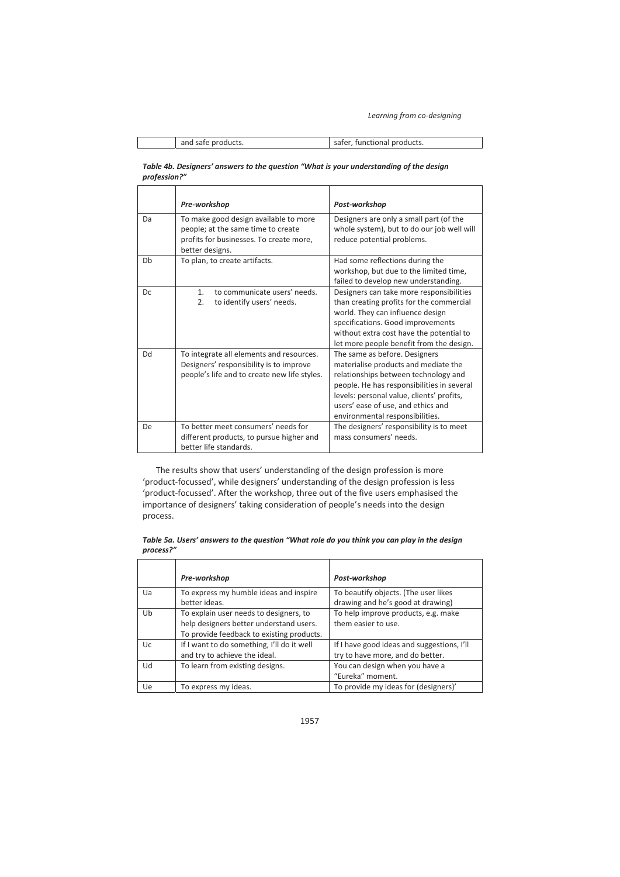| and safe products. | safer, functional products. |
|--------------------|-----------------------------|

#### *Table 4b. Designers' answers to the question "What is your understanding of the design profession?"*

|           | Pre-workshop                                                                                                                              | Post-workshop                                                                                                                                                                                                                                                                     |
|-----------|-------------------------------------------------------------------------------------------------------------------------------------------|-----------------------------------------------------------------------------------------------------------------------------------------------------------------------------------------------------------------------------------------------------------------------------------|
| Da        | To make good design available to more<br>people; at the same time to create<br>profits for businesses. To create more,<br>better designs. | Designers are only a small part (of the<br>whole system), but to do our job well will<br>reduce potential problems.                                                                                                                                                               |
| Db        | To plan, to create artifacts.                                                                                                             | Had some reflections during the<br>workshop, but due to the limited time,<br>failed to develop new understanding.                                                                                                                                                                 |
| Dc        | to communicate users' needs.<br>1 <sub>1</sub><br>2.<br>to identify users' needs.                                                         | Designers can take more responsibilities<br>than creating profits for the commercial<br>world. They can influence design<br>specifications. Good improvements<br>without extra cost have the potential to<br>let more people benefit from the design.                             |
| Dd        | To integrate all elements and resources.<br>Designers' responsibility is to improve<br>people's life and to create new life styles.       | The same as before. Designers<br>materialise products and mediate the<br>relationships between technology and<br>people. He has responsibilities in several<br>levels: personal value, clients' profits,<br>users' ease of use, and ethics and<br>environmental responsibilities. |
| <b>De</b> | To better meet consumers' needs for<br>different products, to pursue higher and<br>better life standards.                                 | The designers' responsibility is to meet<br>mass consumers' needs.                                                                                                                                                                                                                |

The results show that users' understanding of the design profession is more 'product-focussed', while designers' understanding of the design profession is less 'product-focussed'. After the workshop, three out of the five users emphasised the importance of designers' taking consideration of people's needs into the design process.

#### *Table 5a. Users' answers to the question "What role do you think you can play in the design process?"*

|           | Pre-workshop                                                                                                                   | Post-workshop                                                                  |
|-----------|--------------------------------------------------------------------------------------------------------------------------------|--------------------------------------------------------------------------------|
| Ua        | To express my humble ideas and inspire<br>better ideas.                                                                        | To beautify objects. (The user likes<br>drawing and he's good at drawing)      |
| Ub        | To explain user needs to designers, to<br>help designers better understand users.<br>To provide feedback to existing products. | To help improve products, e.g. make<br>them easier to use.                     |
| Uc.       | If I want to do something, I'll do it well<br>and try to achieve the ideal.                                                    | If I have good ideas and suggestions, I'll<br>try to have more, and do better. |
| Ud        | To learn from existing designs.                                                                                                | You can design when you have a<br>"Eureka" moment.                             |
| <b>Ue</b> | To express my ideas.                                                                                                           | To provide my ideas for (designers)'                                           |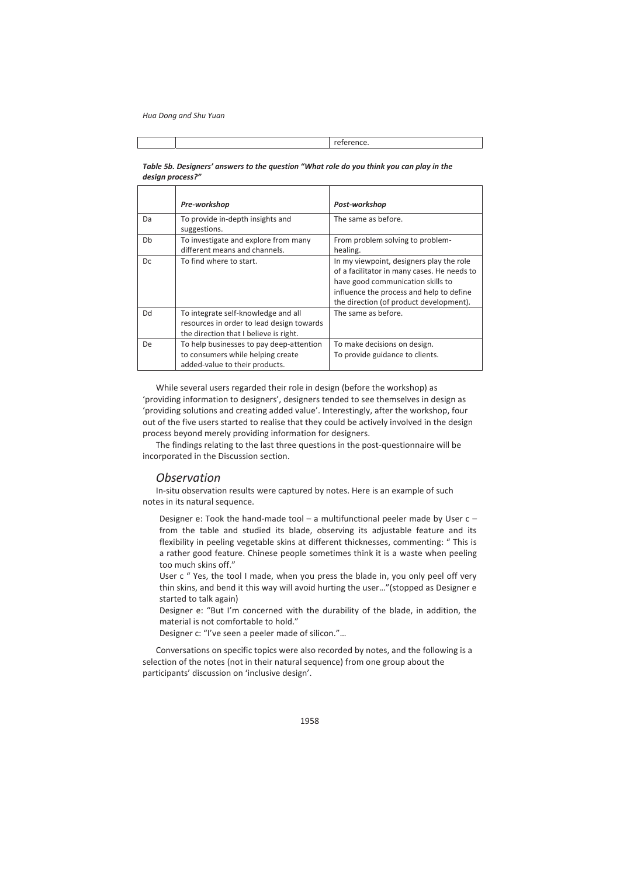reference.

| design process?" |                                                                                                                            |                                                                                                                                                                                                                     |
|------------------|----------------------------------------------------------------------------------------------------------------------------|---------------------------------------------------------------------------------------------------------------------------------------------------------------------------------------------------------------------|
|                  | Pre-workshop                                                                                                               | Post-workshop                                                                                                                                                                                                       |
| Da               | To provide in-depth insights and<br>suggestions.                                                                           | The same as before.                                                                                                                                                                                                 |
| Db               | To investigate and explore from many<br>different means and channels.                                                      | From problem solving to problem-<br>healing.                                                                                                                                                                        |
| Dc               | To find where to start.                                                                                                    | In my viewpoint, designers play the role<br>of a facilitator in many cases. He needs to<br>have good communication skills to<br>influence the process and help to define<br>the direction (of product development). |
| Dd               | To integrate self-knowledge and all<br>resources in order to lead design towards<br>the direction that I believe is right. | The same as before.                                                                                                                                                                                                 |
| De               | To help businesses to pay deep-attention<br>to consumers while helping create<br>added-value to their products.            | To make decisions on design.<br>To provide guidance to clients.                                                                                                                                                     |

# *Table 5b. Designers' answers to the question "What role do you think you can play in the*

While several users regarded their role in design (before the workshop) as 'providing information to designers', designers tended to see themselves in design as 'providing solutions and creating added value'. Interestingly, after the workshop, four out of the five users started to realise that they could be actively involved in the design process beyond merely providing information for designers.

The findings relating to the last three questions in the post-questionnaire will be incorporated in the Discussion section.

### *Observation*

In-situ observation results were captured by notes. Here is an example of such notes in its natural sequence.

Designer e: Took the hand-made tool  $-$  a multifunctional peeler made by User  $c$ from the table and studied its blade, observing its adjustable feature and its flexibility in peeling vegetable skins at different thicknesses, commenting: " This is a rather good feature. Chinese people sometimes think it is a waste when peeling too much skins off."

User c " Yes, the tool I made, when you press the blade in, you only peel off very thin skins, and bend it this way will avoid hurting the user…"(stopped as Designer e started to talk again)

Designer e: "But I'm concerned with the durability of the blade, in addition, the material is not comfortable to hold."

Designer c: "I've seen a peeler made of silicon."…

Conversations on specific topics were also recorded by notes, and the following is a selection of the notes (not in their natural sequence) from one group about the participants' discussion on 'inclusive design'.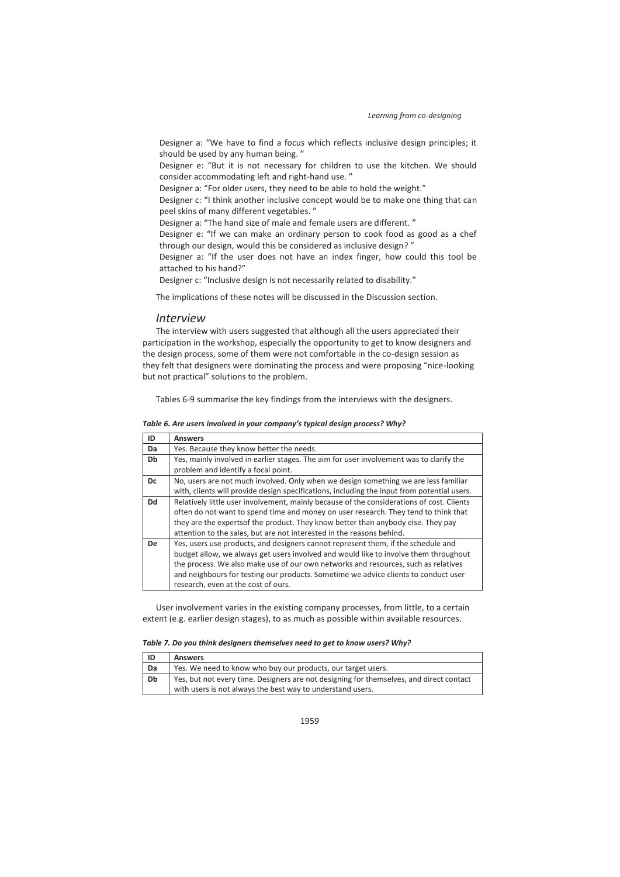Designer a: "We have to find a focus which reflects inclusive design principles; it should be used by any human being. "

Designer e: "But it is not necessary for children to use the kitchen. We should consider accommodating left and right-hand use. "

Designer a: "For older users, they need to be able to hold the weight."

Designer c: "I think another inclusive concept would be to make one thing that can peel skins of many different vegetables. "

Designer a: "The hand size of male and female users are different. "

Designer e: "If we can make an ordinary person to cook food as good as a chef through our design, would this be considered as inclusive design? "

Designer a: "If the user does not have an index finger, how could this tool be attached to his hand?"

Designer c: "Inclusive design is not necessarily related to disability."

The implications of these notes will be discussed in the Discussion section.

### *Interview*

The interview with users suggested that although all the users appreciated their participation in the workshop, especially the opportunity to get to know designers and the design process, some of them were not comfortable in the co-design session as they felt that designers were dominating the process and were proposing "nice-looking but not practical" solutions to the problem.

Tables 6-9 summarise the key findings from the interviews with the designers.

*Table 6. Are users involved in your company's typical design process? Why?* 

| ID | <b>Answers</b>                                                                              |
|----|---------------------------------------------------------------------------------------------|
| Da | Yes. Because they know better the needs.                                                    |
| Db | Yes, mainly involved in earlier stages. The aim for user involvement was to clarify the     |
|    | problem and identify a focal point.                                                         |
| Dc | No, users are not much involved. Only when we design something we are less familiar         |
|    | with, clients will provide design specifications, including the input from potential users. |
| Dd | Relatively little user involvement, mainly because of the considerations of cost. Clients   |
|    | often do not want to spend time and money on user research. They tend to think that         |
|    | they are the experts of the product. They know better than anybody else. They pay           |
|    | attention to the sales, but are not interested in the reasons behind.                       |
| De | Yes, users use products, and designers cannot represent them, if the schedule and           |
|    | budget allow, we always get users involved and would like to involve them throughout        |
|    | the process. We also make use of our own networks and resources, such as relatives          |
|    | and neighbours for testing our products. Sometime we advice clients to conduct user         |
|    | research, even at the cost of ours.                                                         |

User involvement varies in the existing company processes, from little, to a certain extent (e.g. earlier design stages), to as much as possible within available resources.

*Table 7. Do you think designers themselves need to get to know users? Why?* 

| ID | <b>Answers</b>                                                                                                                                        |  |
|----|-------------------------------------------------------------------------------------------------------------------------------------------------------|--|
| Da | Yes. We need to know who buy our products, our target users.                                                                                          |  |
| Db | Yes, but not every time. Designers are not designing for themselves, and direct contact<br>with users is not always the best way to understand users. |  |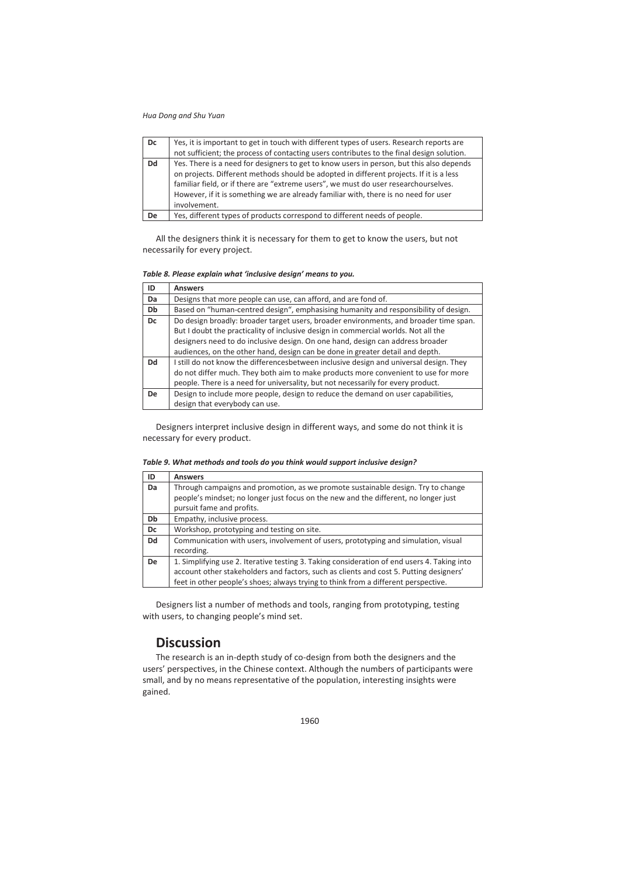| Dc | Yes, it is important to get in touch with different types of users. Research reports are  |
|----|-------------------------------------------------------------------------------------------|
|    | not sufficient; the process of contacting users contributes to the final design solution. |
| Dd | Yes. There is a need for designers to get to know users in person, but this also depends  |
|    | on projects. Different methods should be adopted in different projects. If it is a less   |
|    | familiar field, or if there are "extreme users", we must do user researchourselves.       |
|    | However, if it is something we are already familiar with, there is no need for user       |
|    | involvement.                                                                              |
| De | Yes, different types of products correspond to different needs of people.                 |

All the designers think it is necessary for them to get to know the users, but not necessarily for every project.

| Table 8. Please explain what 'inclusive design' means to you. |  |  |
|---------------------------------------------------------------|--|--|
|---------------------------------------------------------------|--|--|

| ID        | <b>Answers</b>                                                                         |
|-----------|----------------------------------------------------------------------------------------|
| Da        | Designs that more people can use, can afford, and are fond of.                         |
| Db        | Based on "human-centred design", emphasising humanity and responsibility of design.    |
| Dc        | Do design broadly: broader target users, broader environments, and broader time span.  |
|           | But I doubt the practicality of inclusive design in commercial worlds. Not all the     |
|           | designers need to do inclusive design. On one hand, design can address broader         |
|           | audiences, on the other hand, design can be done in greater detail and depth.          |
| Dd        | I still do not know the differencesbetween inclusive design and universal design. They |
|           | do not differ much. They both aim to make products more convenient to use for more     |
|           | people. There is a need for universality, but not necessarily for every product.       |
| <b>De</b> | Design to include more people, design to reduce the demand on user capabilities,       |
|           | design that everybody can use.                                                         |

Designers interpret inclusive design in different ways, and some do not think it is necessary for every product.

| Table 9. What methods and tools do you think would support inclusive design? |  |  |
|------------------------------------------------------------------------------|--|--|
|------------------------------------------------------------------------------|--|--|

| ID        | <b>Answers</b>                                                                              |
|-----------|---------------------------------------------------------------------------------------------|
| Da        | Through campaigns and promotion, as we promote sustainable design. Try to change            |
|           | people's mindset; no longer just focus on the new and the different, no longer just         |
|           | pursuit fame and profits.                                                                   |
| Db        | Empathy, inclusive process.                                                                 |
| Dc        | Workshop, prototyping and testing on site.                                                  |
| Dd        | Communication with users, involvement of users, prototyping and simulation, visual          |
|           | recording.                                                                                  |
| <b>De</b> | 1. Simplifying use 2. Iterative testing 3. Taking consideration of end users 4. Taking into |
|           | account other stakeholders and factors, such as clients and cost 5. Putting designers'      |
|           | feet in other people's shoes; always trying to think from a different perspective.          |

Designers list a number of methods and tools, ranging from prototyping, testing with users, to changing people's mind set.

## **Discussion**

The research is an in-depth study of co-design from both the designers and the users' perspectives, in the Chinese context. Although the numbers of participants were small, and by no means representative of the population, interesting insights were gained.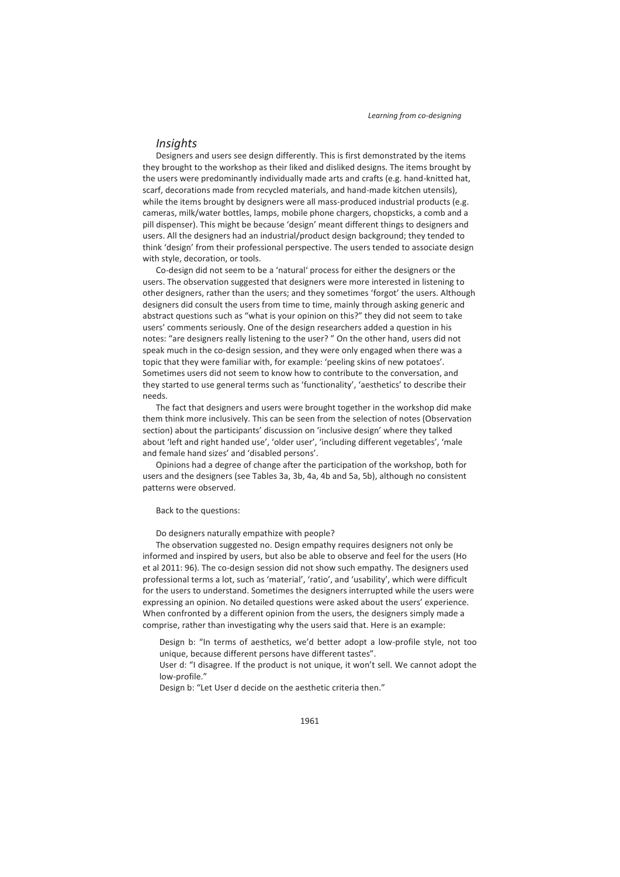### *Insights*

Designers and users see design differently. This is first demonstrated by the items they brought to the workshop as their liked and disliked designs. The items brought by the users were predominantly individually made arts and crafts (e.g. hand-knitted hat, scarf, decorations made from recycled materials, and hand-made kitchen utensils), while the items brought by designers were all mass-produced industrial products (e.g. cameras, milk/water bottles, lamps, mobile phone chargers, chopsticks, a comb and a pill dispenser). This might be because 'design' meant different things to designers and users. All the designers had an industrial/product design background; they tended to think 'design' from their professional perspective. The users tended to associate design with style, decoration, or tools.

Co-design did not seem to be a 'natural' process for either the designers or the users. The observation suggested that designers were more interested in listening to other designers, rather than the users; and they sometimes 'forgot' the users. Although designers did consult the users from time to time, mainly through asking generic and abstract questions such as "what is your opinion on this?" they did not seem to take users' comments seriously. One of the design researchers added a question in his notes: "are designers really listening to the user? " On the other hand, users did not speak much in the co-design session, and they were only engaged when there was a topic that they were familiar with, for example: 'peeling skins of new potatoes'. Sometimes users did not seem to know how to contribute to the conversation, and they started to use general terms such as 'functionality', 'aesthetics' to describe their needs.

The fact that designers and users were brought together in the workshop did make them think more inclusively. This can be seen from the selection of notes (Observation section) about the participants' discussion on 'inclusive design' where they talked about 'left and right handed use', 'older user', 'including different vegetables', 'male and female hand sizes' and 'disabled persons'.

Opinions had a degree of change after the participation of the workshop, both for users and the designers (see Tables 3a, 3b, 4a, 4b and 5a, 5b), although no consistent patterns were observed.

Back to the questions:

Do designers naturally empathize with people?

The observation suggested no. Design empathy requires designers not only be informed and inspired by users, but also be able to observe and feel for the users (Ho et al 2011: 96). The co-design session did not show such empathy. The designers used professional terms a lot, such as 'material', 'ratio', and 'usability', which were difficult for the users to understand. Sometimes the designers interrupted while the users were expressing an opinion. No detailed questions were asked about the users' experience. When confronted by a different opinion from the users, the designers simply made a comprise, rather than investigating why the users said that. Here is an example:

Design b: "In terms of aesthetics, we'd better adopt a low-profile style, not too unique, because different persons have different tastes".

User d: "I disagree. If the product is not unique, it won't sell. We cannot adopt the low-profile."

Design b: "Let User d decide on the aesthetic criteria then."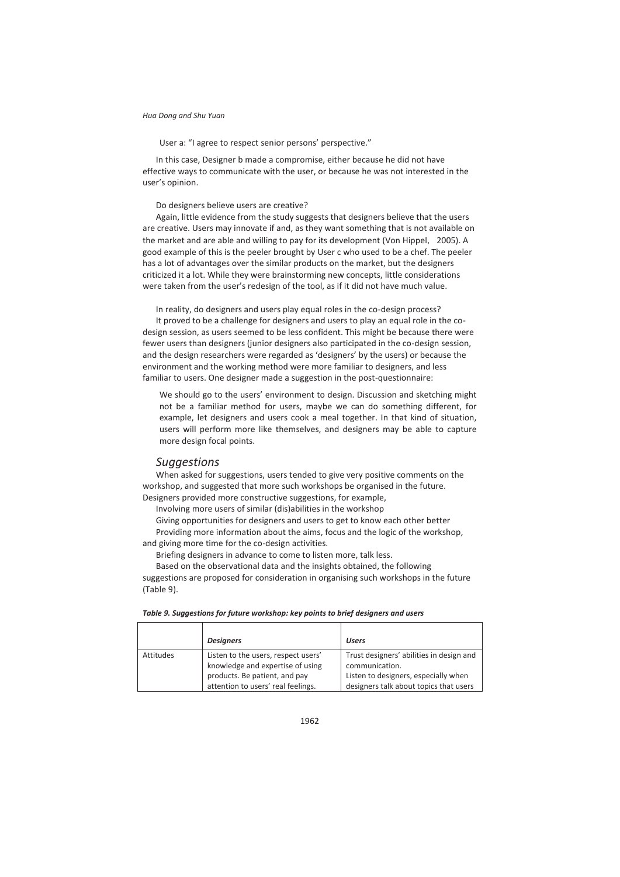User a: "I agree to respect senior persons' perspective."

In this case, Designer b made a compromise, either because he did not have effective ways to communicate with the user, or because he was not interested in the user's opinion.

Do designers believe users are creative?

Again, little evidence from the study suggests that designers believe that the users are creative. Users may innovate if and, as they want something that is not available on the market and are able and willing to pay for its development (Von Hippel, 2005). A good example of this is the peeler brought by User c who used to be a chef. The peeler has a lot of advantages over the similar products on the market, but the designers criticized it a lot. While they were brainstorming new concepts, little considerations were taken from the user's redesign of the tool, as if it did not have much value.

In reality, do designers and users play equal roles in the co-design process?

It proved to be a challenge for designers and users to play an equal role in the codesign session, as users seemed to be less confident. This might be because there were fewer users than designers (junior designers also participated in the co-design session, and the design researchers were regarded as 'designers' by the users) or because the environment and the working method were more familiar to designers, and less familiar to users. One designer made a suggestion in the post-questionnaire:

We should go to the users' environment to design. Discussion and sketching might not be a familiar method for users, maybe we can do something different, for example, let designers and users cook a meal together. In that kind of situation, users will perform more like themselves, and designers may be able to capture more design focal points.

### *Suggestions*

When asked for suggestions, users tended to give very positive comments on the workshop, and suggested that more such workshops be organised in the future. Designers provided more constructive suggestions, for example,

Involving more users of similar (dis)abilities in the workshop

Giving opportunities for designers and users to get to know each other better Providing more information about the aims, focus and the logic of the workshop, and giving more time for the co-design activities.

Briefing designers in advance to come to listen more, talk less.

Based on the observational data and the insights obtained, the following suggestions are proposed for consideration in organising such workshops in the future (Table 9).

|           | <b>Designers</b>                                                        | <b>Users</b>                                                                   |
|-----------|-------------------------------------------------------------------------|--------------------------------------------------------------------------------|
| Attitudes | Listen to the users, respect users'<br>knowledge and expertise of using | Trust designers' abilities in design and<br>communication.                     |
|           | products. Be patient, and pay<br>attention to users' real feelings.     | Listen to designers, especially when<br>designers talk about topics that users |

#### *Table 9. Suggestions for future workshop: key points to brief designers and users*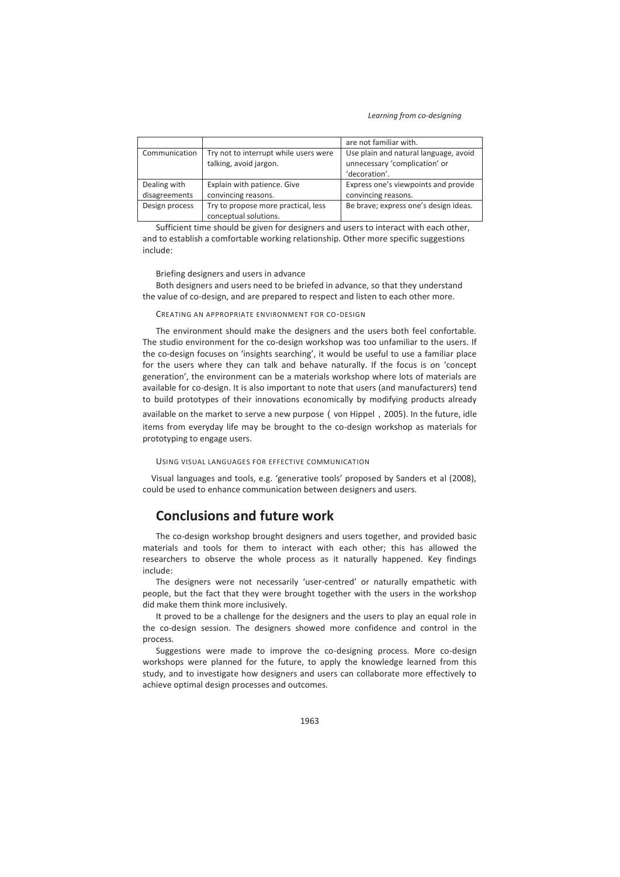|                |                                                                 | are not familiar with.                                                                  |
|----------------|-----------------------------------------------------------------|-----------------------------------------------------------------------------------------|
| Communication  | Try not to interrupt while users were<br>talking, avoid jargon. | Use plain and natural language, avoid<br>unnecessary 'complication' or<br>'decoration'. |
| Dealing with   | Explain with patience. Give                                     | Express one's viewpoints and provide                                                    |
| disagreements  | convincing reasons.                                             | convincing reasons.                                                                     |
| Design process | Try to propose more practical, less<br>conceptual solutions.    | Be brave; express one's design ideas.                                                   |

Sufficient time should be given for designers and users to interact with each other, and to establish a comfortable working relationship. Other more specific suggestions include:

Briefing designers and users in advance

Both designers and users need to be briefed in advance, so that they understand the value of co-design, and are prepared to respect and listen to each other more.

CREATING AN APPROPRIATE ENVIRONMENT FOR CO-DESIGN

The environment should make the designers and the users both feel confortable. The studio environment for the co-design workshop was too unfamiliar to the users. If the co-design focuses on 'insights searching', it would be useful to use a familiar place for the users where they can talk and behave naturally. If the focus is on 'concept generation', the environment can be a materials workshop where lots of materials are available for co-design. It is also important to note that users (and manufacturers) tend to build prototypes of their innovations economically by modifying products already available on the market to serve a new purpose (von Hippel, 2005). In the future, idle items from everyday life may be brought to the co-design workshop as materials for prototyping to engage users.

USING VISUAL LANGUAGES FOR EFFECTIVE COMMUNICATION

Visual languages and tools, e.g. 'generative tools' proposed by Sanders et al (2008), could be used to enhance communication between designers and users.

# **Conclusions and future work**

The co-design workshop brought designers and users together, and provided basic materials and tools for them to interact with each other; this has allowed the researchers to observe the whole process as it naturally happened. Key findings include:

The designers were not necessarily 'user-centred' or naturally empathetic with people, but the fact that they were brought together with the users in the workshop did make them think more inclusively.

It proved to be a challenge for the designers and the users to play an equal role in the co-design session. The designers showed more confidence and control in the process.

Suggestions were made to improve the co-designing process. More co-design workshops were planned for the future, to apply the knowledge learned from this study, and to investigate how designers and users can collaborate more effectively to achieve optimal design processes and outcomes.